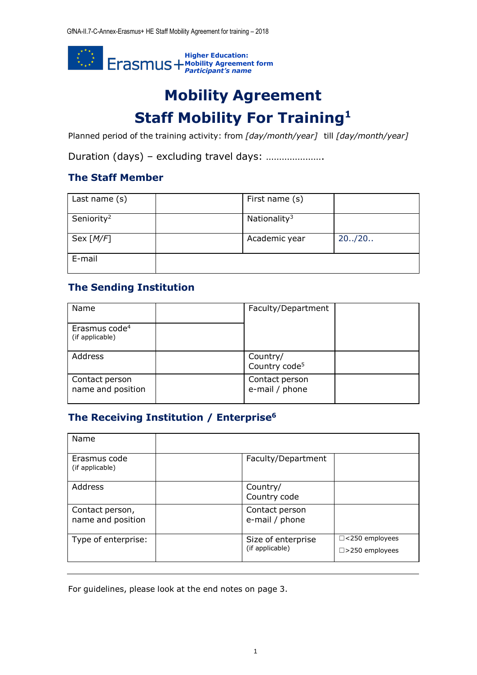

# **Mobility Agreement Staff Mobility For Training<sup>1</sup>**

Planned period of the training activity: from *[day/month/year]* till *[day/month/year]*

Duration (days) – excluding travel days: ………………….

### **The Staff Member**

| Last name (s)          | First name (s)           |         |
|------------------------|--------------------------|---------|
| Seniority <sup>2</sup> | Nationality <sup>3</sup> |         |
| Sex [M/F]              | Academic year            | 20.720. |
| E-mail                 |                          |         |

## **The Sending Institution**

| Name                                         | Faculty/Department                    |  |
|----------------------------------------------|---------------------------------------|--|
| Erasmus code <sup>4</sup><br>(if applicable) |                                       |  |
| Address                                      | Country/<br>Country code <sup>5</sup> |  |
| Contact person<br>name and position          | Contact person<br>e-mail / phone      |  |

# **The Receiving Institution / Enterprise<sup>6</sup>**

| Name                                 |                                       |                                              |
|--------------------------------------|---------------------------------------|----------------------------------------------|
| Erasmus code<br>(if applicable)      | Faculty/Department                    |                                              |
| Address                              | Country/<br>Country code              |                                              |
| Contact person,<br>name and position | Contact person<br>e-mail / phone      |                                              |
| Type of enterprise:                  | Size of enterprise<br>(if applicable) | □<250 employees<br>$\square$ > 250 employees |

For guidelines, please look at the end notes on page 3.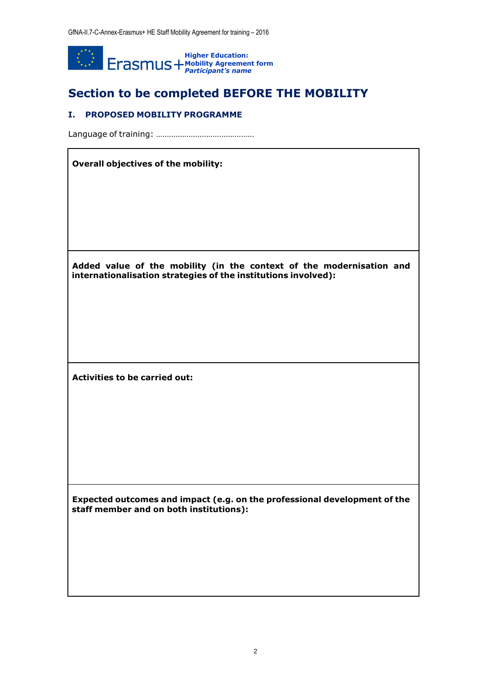

# **Section to be completed BEFORE THE MOBILITY**

#### **I. PROPOSED MOBILITY PROGRAMME**

Language of training: ………………………………………

#### **Overall objectives of the mobility:**

**Added value of the mobility (in the context of the modernisation and internationalisation strategies of the institutions involved):**

**Activities to be carried out:**

**Expected outcomes and impact (e.g. on the professional development of the staff member and on both institutions):**